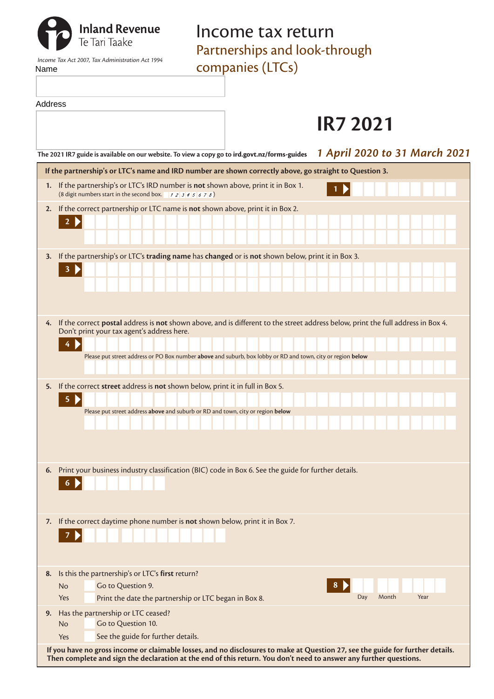| Name    | <b>Inland Revenue</b><br>Te Tari Taake<br>Income Tax Act 2007, Tax Administration Act 1994                                                   | Income tax return<br>Partnerships and look-through<br>companies (LTCs)                                                           |
|---------|----------------------------------------------------------------------------------------------------------------------------------------------|----------------------------------------------------------------------------------------------------------------------------------|
| Address |                                                                                                                                              |                                                                                                                                  |
|         |                                                                                                                                              | <b>IR7 2021</b>                                                                                                                  |
|         | The 2021 IR7 guide is available on our website. To view a copy go to ird.govt.nz/forms-guides                                                | 1 April 2020 to 31 March 2021                                                                                                    |
|         |                                                                                                                                              | If the partnership's or LTC's name and IRD number are shown correctly above, go straight to Question 3.                          |
|         | 1. If the partnership's or LTC's IRD number is not shown above, print it in Box 1.<br>(8 digit numbers start in the second box. $12345678$ ) |                                                                                                                                  |
| 2.      | If the correct partnership or LTC name is not shown above, print it in Box 2.                                                                |                                                                                                                                  |
|         |                                                                                                                                              |                                                                                                                                  |
| 3.      |                                                                                                                                              | If the partnership's or LTC's trading name has changed or is not shown below, print it in Box 3.                                 |
|         |                                                                                                                                              |                                                                                                                                  |
|         |                                                                                                                                              |                                                                                                                                  |
|         |                                                                                                                                              |                                                                                                                                  |
| 4.      | Don't print your tax agent's address here.                                                                                                   | If the correct postal address is not shown above, and is different to the street address below, print the full address in Box 4. |
|         |                                                                                                                                              |                                                                                                                                  |
|         |                                                                                                                                              | Please put street address or PO Box number above and suburb, box lobby or RD and town, city or region below                      |
| 5.      | If the correct street address is not shown below, print it in full in Box 5.                                                                 |                                                                                                                                  |
|         | 5                                                                                                                                            |                                                                                                                                  |
|         |                                                                                                                                              | Please put street address above and suburb or RD and town, city or region below                                                  |
|         |                                                                                                                                              |                                                                                                                                  |
|         |                                                                                                                                              |                                                                                                                                  |
| 6.      |                                                                                                                                              | Print your business industry classification (BIC) code in Box 6. See the guide for further details.                              |
|         | 6                                                                                                                                            |                                                                                                                                  |
|         |                                                                                                                                              |                                                                                                                                  |
| 7.      | If the correct daytime phone number is not shown below, print it in Box 7.                                                                   |                                                                                                                                  |
|         |                                                                                                                                              |                                                                                                                                  |
|         |                                                                                                                                              |                                                                                                                                  |
| 8.      | Is this the partnership's or LTC's first return?<br>Go to Question 9.<br><b>No</b>                                                           | 8                                                                                                                                |
|         | Print the date the partnership or LTC began in Box 8.<br>Yes                                                                                 | Day<br>Month<br>Year                                                                                                             |
| 9.      | Has the partnership or LTC ceased?<br>Go to Question 10.<br><b>No</b>                                                                        |                                                                                                                                  |
|         | See the guide for further details.<br>Yes                                                                                                    |                                                                                                                                  |

**If you have no gross income or claimable losses, and no disclosures to make at Question 27, see the guide for further details. Then complete and sign the declaration at the end of this return. You don't need to answer any further questions.**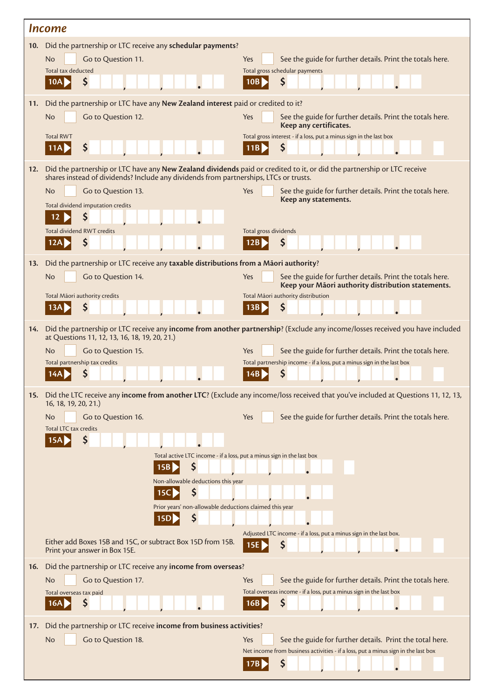|     | <i><u><b>Income</b></u></i>                                                                                                                                                                                      |                                                                                                                                      |  |  |  |  |
|-----|------------------------------------------------------------------------------------------------------------------------------------------------------------------------------------------------------------------|--------------------------------------------------------------------------------------------------------------------------------------|--|--|--|--|
|     | 10. Did the partnership or LTC receive any schedular payments?                                                                                                                                                   |                                                                                                                                      |  |  |  |  |
|     | Go to Question 11.<br><b>No</b><br>Total tax deducted                                                                                                                                                            | See the guide for further details. Print the totals here.<br>Yes<br>Total gross schedular payments                                   |  |  |  |  |
|     | \$<br>10A                                                                                                                                                                                                        | S<br>10B                                                                                                                             |  |  |  |  |
| 11. | Did the partnership or LTC have any New Zealand interest paid or credited to it?                                                                                                                                 |                                                                                                                                      |  |  |  |  |
|     | <b>No</b><br>Go to Question 12.                                                                                                                                                                                  | See the guide for further details. Print the totals here.<br><b>Yes</b><br>Keep any certificates.                                    |  |  |  |  |
|     | <b>Total RWT</b><br>\$<br>11AD                                                                                                                                                                                   | Total gross interest - if a loss, put a minus sign in the last box<br>\$<br>11B                                                      |  |  |  |  |
| 12. | Did the partnership or LTC have any New Zealand dividends paid or credited to it, or did the partnership or LTC receive<br>shares instead of dividends? Include any dividends from partnerships, LTCs or trusts. |                                                                                                                                      |  |  |  |  |
|     | <b>No</b><br>Go to Question 13.                                                                                                                                                                                  | Yes<br>See the guide for further details. Print the totals here.<br>Keep any statements.                                             |  |  |  |  |
|     | Total dividend imputation credits<br>Ş<br>12                                                                                                                                                                     |                                                                                                                                      |  |  |  |  |
|     | Total dividend RWT credits                                                                                                                                                                                       | Total gross dividends                                                                                                                |  |  |  |  |
|     | S                                                                                                                                                                                                                |                                                                                                                                      |  |  |  |  |
| 13. | Did the partnership or LTC receive any taxable distributions from a Māori authority?                                                                                                                             |                                                                                                                                      |  |  |  |  |
|     | <b>No</b><br>Go to Question 14.                                                                                                                                                                                  | See the guide for further details. Print the totals here.<br>Yes<br>Keep your Māori authority distribution statements.               |  |  |  |  |
|     | Total Māori authority credits<br>\$<br>13A                                                                                                                                                                       | Total Māori authority distribution<br>\$<br>13B                                                                                      |  |  |  |  |
|     |                                                                                                                                                                                                                  |                                                                                                                                      |  |  |  |  |
| 14. | at Questions 11, 12, 13, 16, 18, 19, 20, 21.)                                                                                                                                                                    | Did the partnership or LTC receive any income from another partnership? (Exclude any income/losses received you have included        |  |  |  |  |
|     | <b>No</b><br>Go to Question 15.                                                                                                                                                                                  | Yes<br>See the guide for further details. Print the totals here.                                                                     |  |  |  |  |
|     | Total partnership tax credits                                                                                                                                                                                    | Total partnership income - if a loss, put a minus sign in the last box<br>S                                                          |  |  |  |  |
|     |                                                                                                                                                                                                                  | 15. Did the LTC receive any income from another LTC? (Exclude any income/loss received that you've included at Questions 11, 12, 13, |  |  |  |  |
|     | 16, 18, 19, 20, 21.)                                                                                                                                                                                             |                                                                                                                                      |  |  |  |  |
|     | Go to Question 16.<br>No<br><b>Total LTC tax credits</b>                                                                                                                                                         | See the guide for further details. Print the totals here.<br>Yes                                                                     |  |  |  |  |
|     | \$<br>15A                                                                                                                                                                                                        |                                                                                                                                      |  |  |  |  |
|     | Total active LTC income - if a loss, put a minus sign in the last box<br>\$<br>15B                                                                                                                               |                                                                                                                                      |  |  |  |  |
|     | Non-allowable deductions this year                                                                                                                                                                               |                                                                                                                                      |  |  |  |  |
|     | Ş<br>15C<br>Prior years' non-allowable deductions claimed this year                                                                                                                                              |                                                                                                                                      |  |  |  |  |
|     | Ş<br>15D                                                                                                                                                                                                         |                                                                                                                                      |  |  |  |  |
|     | Either add Boxes 15B and 15C, or subtract Box 15D from 15B.<br>Print your answer in Box 15E.                                                                                                                     | Adjusted LTC income - if a loss, put a minus sign in the last box.<br>Ş<br>15E                                                       |  |  |  |  |
| 16. | Did the partnership or LTC receive any income from overseas?                                                                                                                                                     |                                                                                                                                      |  |  |  |  |
|     | <b>No</b><br>Go to Question 17.                                                                                                                                                                                  | See the guide for further details. Print the totals here.<br>Yes                                                                     |  |  |  |  |
|     | Total overseas tax paid<br>\$<br>16A                                                                                                                                                                             | Total overseas income - if a loss, put a minus sign in the last box<br>\$<br>16B                                                     |  |  |  |  |
| 17. | Did the partnership or LTC receive income from business activities?                                                                                                                                              |                                                                                                                                      |  |  |  |  |
|     | <b>No</b><br>Go to Question 18.                                                                                                                                                                                  | Yes<br>See the guide for further details. Print the total here.                                                                      |  |  |  |  |
|     |                                                                                                                                                                                                                  | Net income from business activities - if a loss, put a minus sign in the last box<br>\$<br>17B                                       |  |  |  |  |
|     |                                                                                                                                                                                                                  |                                                                                                                                      |  |  |  |  |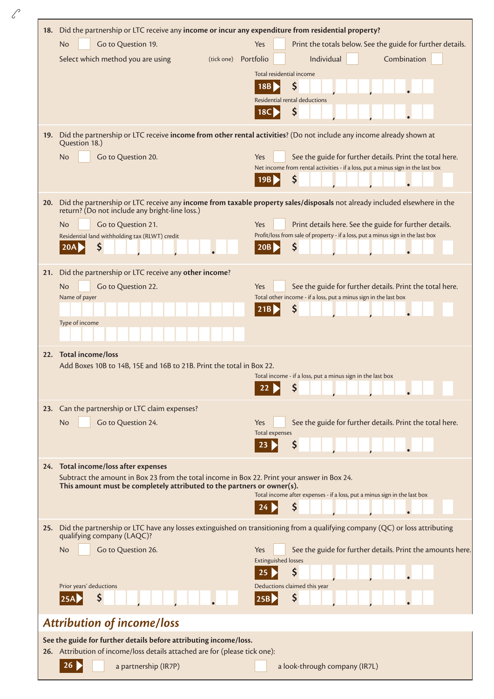| 18.                                                               | Did the partnership or LTC receive any income or incur any expenditure from residential property?                                   |                                                                                                                                     |  |  |  |  |
|-------------------------------------------------------------------|-------------------------------------------------------------------------------------------------------------------------------------|-------------------------------------------------------------------------------------------------------------------------------------|--|--|--|--|
|                                                                   | Go to Question 19.<br><b>No</b><br>Select which method you are using<br>(tick one) Portfolio                                        | Print the totals below. See the guide for further details.<br>Yes<br>Individual<br>Combination                                      |  |  |  |  |
|                                                                   |                                                                                                                                     | Total residential income                                                                                                            |  |  |  |  |
|                                                                   |                                                                                                                                     | \$<br>18B                                                                                                                           |  |  |  |  |
|                                                                   |                                                                                                                                     | Residential rental deductions                                                                                                       |  |  |  |  |
|                                                                   |                                                                                                                                     | \$<br>18C                                                                                                                           |  |  |  |  |
|                                                                   | Question 18.)                                                                                                                       | 19. Did the partnership or LTC receive income from other rental activities? (Do not include any income already shown at             |  |  |  |  |
|                                                                   | <b>No</b><br>Go to Question 20.                                                                                                     | See the guide for further details. Print the total here.<br>Yes                                                                     |  |  |  |  |
|                                                                   |                                                                                                                                     | Net income from rental activities - if a loss, put a minus sign in the last box<br>\$<br>19B                                        |  |  |  |  |
| 20.                                                               | return? (Do not include any bright-line loss.)                                                                                      | Did the partnership or LTC receive any income from taxable property sales/disposals not already included elsewhere in the           |  |  |  |  |
|                                                                   | <b>No</b><br>Go to Question 21.                                                                                                     | <b>Yes</b><br>Print details here. See the guide for further details.                                                                |  |  |  |  |
|                                                                   | Residential land withholding tax (RLWT) credit<br>\$<br>20A                                                                         | Profit/loss from sale of property - if a loss, put a minus sign in the last box<br>\$<br>20B                                        |  |  |  |  |
| 21.                                                               | Did the partnership or LTC receive any other income?                                                                                |                                                                                                                                     |  |  |  |  |
|                                                                   | Go to Question 22.<br>No<br>Name of payer                                                                                           | Yes<br>See the guide for further details. Print the total here.<br>Total other income - if a loss, put a minus sign in the last box |  |  |  |  |
|                                                                   |                                                                                                                                     | \$<br>21B                                                                                                                           |  |  |  |  |
|                                                                   | Type of income                                                                                                                      |                                                                                                                                     |  |  |  |  |
|                                                                   |                                                                                                                                     |                                                                                                                                     |  |  |  |  |
| 22.                                                               | <b>Total income/loss</b>                                                                                                            |                                                                                                                                     |  |  |  |  |
|                                                                   | Add Boxes 10B to 14B, 15E and 16B to 21B. Print the total in Box 22.                                                                | Total income - if a loss, put a minus sign in the last box                                                                          |  |  |  |  |
|                                                                   |                                                                                                                                     | \$<br>22                                                                                                                            |  |  |  |  |
|                                                                   | 23. Can the partnership or LTC claim expenses?                                                                                      |                                                                                                                                     |  |  |  |  |
|                                                                   | Go to Question 24.<br>No                                                                                                            | See the guide for further details. Print the total here.<br>Yes<br>Total expenses                                                   |  |  |  |  |
|                                                                   |                                                                                                                                     | \$                                                                                                                                  |  |  |  |  |
|                                                                   |                                                                                                                                     |                                                                                                                                     |  |  |  |  |
|                                                                   | 24. Total income/loss after expenses<br>Subtract the amount in Box 23 from the total income in Box 22. Print your answer in Box 24. |                                                                                                                                     |  |  |  |  |
|                                                                   | This amount must be completely attributed to the partners or owner(s).                                                              | Total income after expenses - if a loss, put a minus sign in the last box                                                           |  |  |  |  |
|                                                                   |                                                                                                                                     | \$                                                                                                                                  |  |  |  |  |
| 25.                                                               | qualifying company (LAQC)?                                                                                                          | Did the partnership or LTC have any losses extinguished on transitioning from a qualifying company (QC) or loss attributing         |  |  |  |  |
|                                                                   | No<br>Go to Question 26.                                                                                                            | See the guide for further details. Print the amounts here.<br><b>Yes</b>                                                            |  |  |  |  |
|                                                                   |                                                                                                                                     | <b>Extinguished losses</b><br>\$                                                                                                    |  |  |  |  |
|                                                                   | Prior years' deductions                                                                                                             | Deductions claimed this year                                                                                                        |  |  |  |  |
|                                                                   | Ş                                                                                                                                   | \$<br> 25B                                                                                                                          |  |  |  |  |
|                                                                   | <b>Attribution of income/loss</b>                                                                                                   |                                                                                                                                     |  |  |  |  |
| See the guide for further details before attributing income/loss. |                                                                                                                                     |                                                                                                                                     |  |  |  |  |
|                                                                   | 26. Attribution of income/loss details attached are for (please tick one):                                                          |                                                                                                                                     |  |  |  |  |
|                                                                   | 26<br>a partnership (IR7P)                                                                                                          | a look-through company (IR7L)                                                                                                       |  |  |  |  |